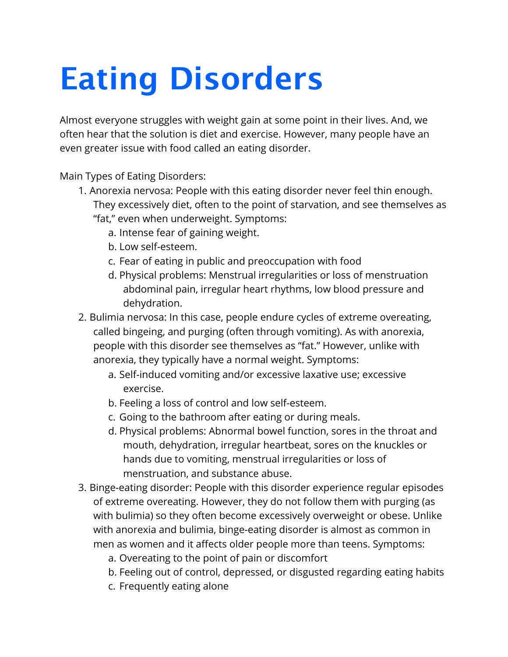## **Eating Disorders**

Almost everyone struggles with weight gain at some point in their lives. And, we often hear that the solution is diet and exercise. However, many people have an even greater issue with food called an eating disorder.

Main Types of Eating Disorders:

- 1. Anorexia nervosa: People with this eating disorder never feel thin enough. They excessively diet, often to the point of starvation, and see themselves as "fat," even when underweight. Symptoms:
	- a. Intense fear of gaining weight.
	- b. Low self-esteem.
	- c. Fear of eating in public and preoccupation with food
	- d. Physical problems: Menstrual irregularities or loss of menstruation abdominal pain, irregular heart rhythms, low blood pressure and dehydration.
- 2. Bulimia nervosa: In this case, people endure cycles of extreme overeating, called bingeing, and purging (often through vomiting). As with anorexia, people with this disorder see themselves as "fat." However, unlike with anorexia, they typically have a normal weight. Symptoms:
	- a. Self-induced vomiting and/or excessive laxative use; excessive exercise.
	- b. Feeling a loss of control and low self-esteem.
	- c. Going to the bathroom after eating or during meals.
	- d. Physical problems: Abnormal bowel function, sores in the throat and mouth, dehydration, irregular heartbeat, sores on the knuckles or hands due to vomiting, menstrual irregularities or loss of menstruation, and substance abuse.
- 3. Binge-eating disorder: People with this disorder experience regular episodes of extreme overeating. However, they do not follow them with purging (as with bulimia) so they often become excessively overweight or obese. Unlike with anorexia and bulimia, binge-eating disorder is almost as common in men as women and it affects older people more than teens. Symptoms:
	- a. Overeating to the point of pain or discomfort
	- b. Feeling out of control, depressed, or disgusted regarding eating habits
	- c. Frequently eating alone